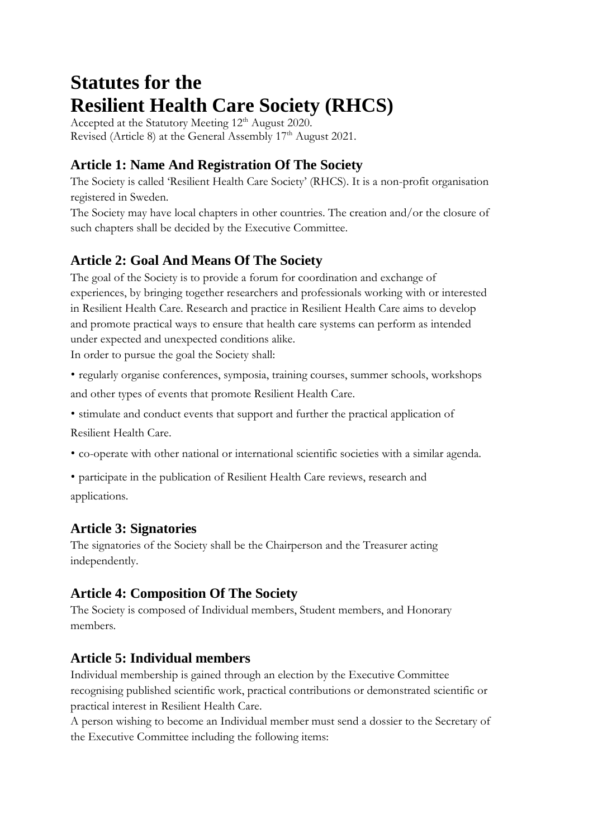# **Statutes for the Resilient Health Care Society (RHCS)**

Accepted at the Statutory Meeting 12<sup>th</sup> August 2020. Revised (Article 8) at the General Assembly  $17<sup>th</sup>$  August 2021.

# **Article 1: Name And Registration Of The Society**

The Society is called 'Resilient Health Care Society' (RHCS). It is a non-profit organisation registered in Sweden.

The Society may have local chapters in other countries. The creation and/or the closure of such chapters shall be decided by the Executive Committee.

# **Article 2: Goal And Means Of The Society**

The goal of the Society is to provide a forum for coordination and exchange of experiences, by bringing together researchers and professionals working with or interested in Resilient Health Care. Research and practice in Resilient Health Care aims to develop and promote practical ways to ensure that health care systems can perform as intended under expected and unexpected conditions alike.

In order to pursue the goal the Society shall:

• regularly organise conferences, symposia, training courses, summer schools, workshops and other types of events that promote Resilient Health Care.

• stimulate and conduct events that support and further the practical application of

Resilient Health Care.

- co-operate with other national or international scientific societies with a similar agenda.
- participate in the publication of Resilient Health Care reviews, research and applications.

# **Article 3: Signatories**

The signatories of the Society shall be the Chairperson and the Treasurer acting independently.

# **Article 4: Composition Of The Society**

The Society is composed of Individual members, Student members, and Honorary members.

# **Article 5: Individual members**

Individual membership is gained through an election by the Executive Committee recognising published scientific work, practical contributions or demonstrated scientific or practical interest in Resilient Health Care.

A person wishing to become an Individual member must send a dossier to the Secretary of the Executive Committee including the following items: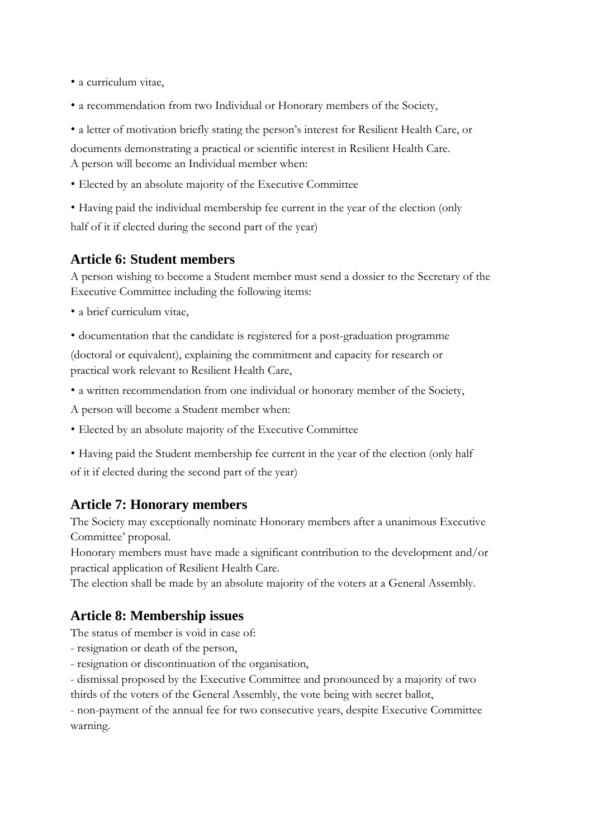• a curriculum vitae,

- a recommendation from two Individual or Honorary members of the Society,
- a letter of motivation briefly stating the person's interest for Resilient Health Care, or

documents demonstrating a practical or scientific interest in Resilient Health Care. A person will become an Individual member when:

• Elected by an absolute majority of the Executive Committee

• Having paid the individual membership fee current in the year of the election (only half of it if elected during the second part of the year)

## **Article 6: Student members**

A person wishing to become a Student member must send a dossier to the Secretary of the Executive Committee including the following items:

• a brief curriculum vitae,

• documentation that the candidate is registered for a post-graduation programme (doctoral or equivalent), explaining the commitment and capacity for research or practical work relevant to Resilient Health Care,

• a written recommendation from one individual or honorary member of the Society,

A person will become a Student member when:

- Elected by an absolute majority of the Executive Committee
- Having paid the Student membership fee current in the year of the election (only half

of it if elected during the second part of the year)

#### **Article 7: Honorary members**

The Society may exceptionally nominate Honorary members after a unanimous Executive Committee' proposal.

Honorary members must have made a significant contribution to the development and/or practical application of Resilient Health Care.

The election shall be made by an absolute majority of the voters at a General Assembly.

## **Article 8: Membership issues**

The status of member is void in case of:

- resignation or death of the person,
- resignation or discontinuation of the organisation,

- dismissal proposed by the Executive Committee and pronounced by a majority of two

thirds of the voters of the General Assembly, the vote being with secret ballot,

- non-payment of the annual fee for two consecutive years, despite Executive Committee warning.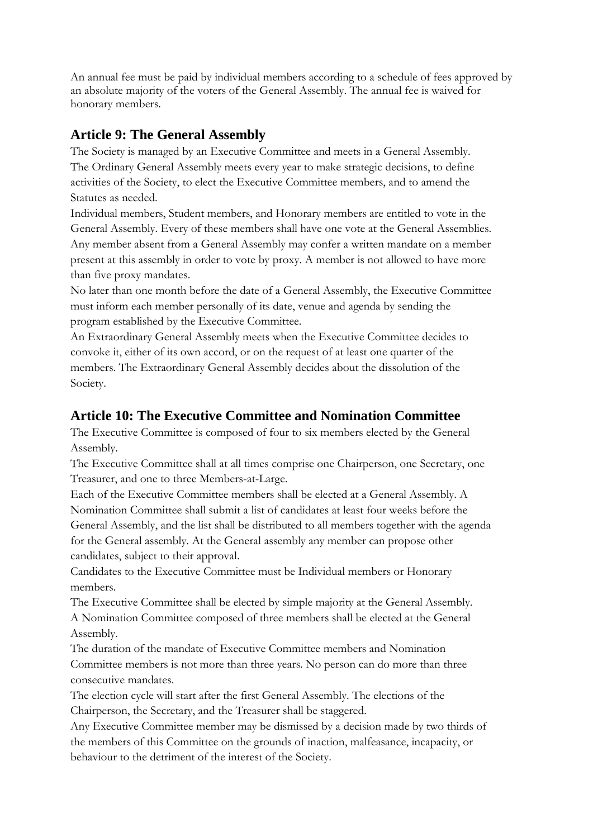An annual fee must be paid by individual members according to a schedule of fees approved by an absolute majority of the voters of the General Assembly. The annual fee is waived for honorary members.

## **Article 9: The General Assembly**

The Society is managed by an Executive Committee and meets in a General Assembly. The Ordinary General Assembly meets every year to make strategic decisions, to define activities of the Society, to elect the Executive Committee members, and to amend the Statutes as needed.

Individual members, Student members, and Honorary members are entitled to vote in the General Assembly. Every of these members shall have one vote at the General Assemblies. Any member absent from a General Assembly may confer a written mandate on a member present at this assembly in order to vote by proxy. A member is not allowed to have more than five proxy mandates.

No later than one month before the date of a General Assembly, the Executive Committee must inform each member personally of its date, venue and agenda by sending the program established by the Executive Committee.

An Extraordinary General Assembly meets when the Executive Committee decides to convoke it, either of its own accord, or on the request of at least one quarter of the members. The Extraordinary General Assembly decides about the dissolution of the Society.

#### **Article 10: The Executive Committee and Nomination Committee**

The Executive Committee is composed of four to six members elected by the General Assembly.

The Executive Committee shall at all times comprise one Chairperson, one Secretary, one Treasurer, and one to three Members-at-Large.

Each of the Executive Committee members shall be elected at a General Assembly. A Nomination Committee shall submit a list of candidates at least four weeks before the General Assembly, and the list shall be distributed to all members together with the agenda for the General assembly. At the General assembly any member can propose other candidates, subject to their approval.

Candidates to the Executive Committee must be Individual members or Honorary members.

The Executive Committee shall be elected by simple majority at the General Assembly. A Nomination Committee composed of three members shall be elected at the General Assembly.

The duration of the mandate of Executive Committee members and Nomination Committee members is not more than three years. No person can do more than three consecutive mandates.

The election cycle will start after the first General Assembly. The elections of the Chairperson, the Secretary, and the Treasurer shall be staggered.

Any Executive Committee member may be dismissed by a decision made by two thirds of the members of this Committee on the grounds of inaction, malfeasance, incapacity, or behaviour to the detriment of the interest of the Society.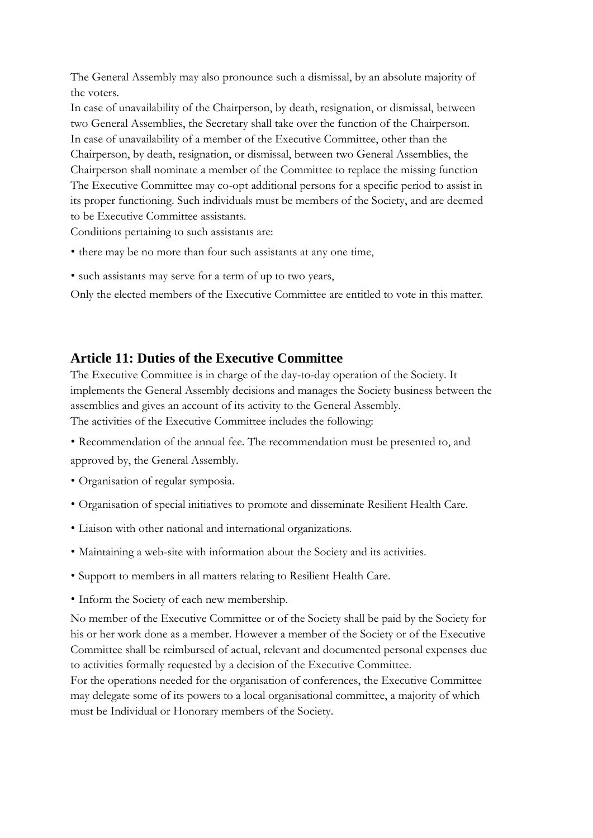The General Assembly may also pronounce such a dismissal, by an absolute majority of the voters.

In case of unavailability of the Chairperson, by death, resignation, or dismissal, between two General Assemblies, the Secretary shall take over the function of the Chairperson. In case of unavailability of a member of the Executive Committee, other than the Chairperson, by death, resignation, or dismissal, between two General Assemblies, the Chairperson shall nominate a member of the Committee to replace the missing function The Executive Committee may co-opt additional persons for a specific period to assist in its proper functioning. Such individuals must be members of the Society, and are deemed to be Executive Committee assistants.

Conditions pertaining to such assistants are:

- there may be no more than four such assistants at any one time,
- such assistants may serve for a term of up to two years,

Only the elected members of the Executive Committee are entitled to vote in this matter.

#### **Article 11: Duties of the Executive Committee**

The Executive Committee is in charge of the day-to-day operation of the Society. It implements the General Assembly decisions and manages the Society business between the assemblies and gives an account of its activity to the General Assembly. The activities of the Executive Committee includes the following:

- Recommendation of the annual fee. The recommendation must be presented to, and approved by, the General Assembly.
- Organisation of regular symposia.
- Organisation of special initiatives to promote and disseminate Resilient Health Care.
- Liaison with other national and international organizations.
- Maintaining a web-site with information about the Society and its activities.
- Support to members in all matters relating to Resilient Health Care.
- Inform the Society of each new membership.

No member of the Executive Committee or of the Society shall be paid by the Society for his or her work done as a member. However a member of the Society or of the Executive Committee shall be reimbursed of actual, relevant and documented personal expenses due to activities formally requested by a decision of the Executive Committee.

For the operations needed for the organisation of conferences, the Executive Committee may delegate some of its powers to a local organisational committee, a majority of which must be Individual or Honorary members of the Society.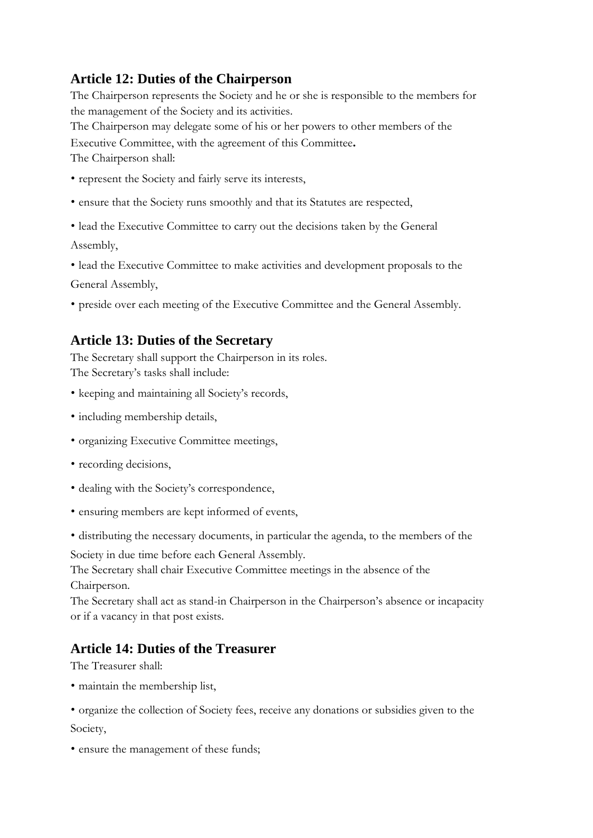## **Article 12: Duties of the Chairperson**

The Chairperson represents the Society and he or she is responsible to the members for the management of the Society and its activities.

The Chairperson may delegate some of his or her powers to other members of the Executive Committee, with the agreement of this Committee**.**

The Chairperson shall:

- represent the Society and fairly serve its interests,
- ensure that the Society runs smoothly and that its Statutes are respected,
- lead the Executive Committee to carry out the decisions taken by the General Assembly,
- lead the Executive Committee to make activities and development proposals to the General Assembly,
- preside over each meeting of the Executive Committee and the General Assembly.

## **Article 13: Duties of the Secretary**

The Secretary shall support the Chairperson in its roles. The Secretary's tasks shall include:

- keeping and maintaining all Society's records,
- including membership details,
- organizing Executive Committee meetings,
- recording decisions,
- dealing with the Society's correspondence,
- ensuring members are kept informed of events,
- distributing the necessary documents, in particular the agenda, to the members of the

Society in due time before each General Assembly.

The Secretary shall chair Executive Committee meetings in the absence of the Chairperson.

The Secretary shall act as stand-in Chairperson in the Chairperson's absence or incapacity or if a vacancy in that post exists.

## **Article 14: Duties of the Treasurer**

The Treasurer shall:

• maintain the membership list,

• organize the collection of Society fees, receive any donations or subsidies given to the Society,

• ensure the management of these funds;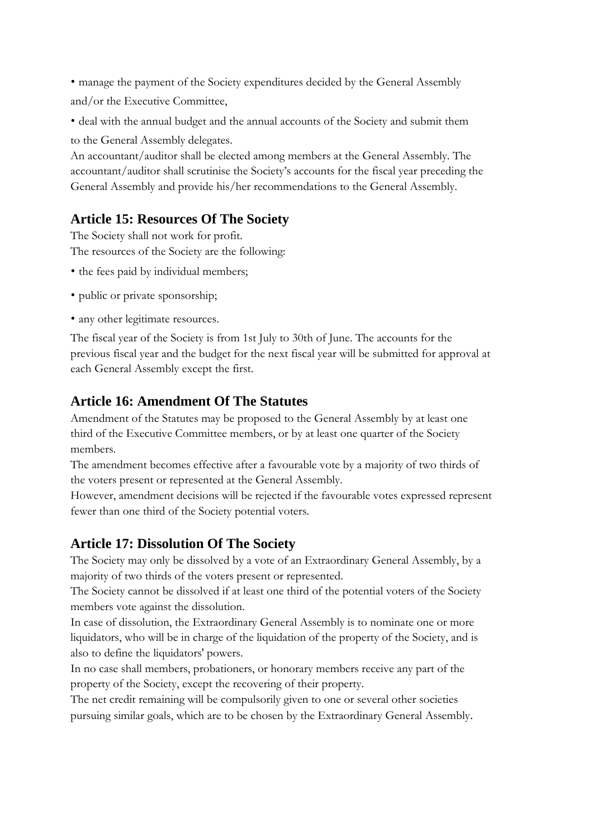• manage the payment of the Society expenditures decided by the General Assembly and/or the Executive Committee,

• deal with the annual budget and the annual accounts of the Society and submit them

to the General Assembly delegates.

An accountant/auditor shall be elected among members at the General Assembly. The accountant/auditor shall scrutinise the Society's accounts for the fiscal year preceding the General Assembly and provide his/her recommendations to the General Assembly.

# **Article 15: Resources Of The Society**

The Society shall not work for profit. The resources of the Society are the following:

- the fees paid by individual members;
- public or private sponsorship;
- any other legitimate resources.

The fiscal year of the Society is from 1st July to 30th of June. The accounts for the previous fiscal year and the budget for the next fiscal year will be submitted for approval at each General Assembly except the first.

## **Article 16: Amendment Of The Statutes**

Amendment of the Statutes may be proposed to the General Assembly by at least one third of the Executive Committee members, or by at least one quarter of the Society members.

The amendment becomes effective after a favourable vote by a majority of two thirds of the voters present or represented at the General Assembly.

However, amendment decisions will be rejected if the favourable votes expressed represent fewer than one third of the Society potential voters.

## **Article 17: Dissolution Of The Society**

The Society may only be dissolved by a vote of an Extraordinary General Assembly, by a majority of two thirds of the voters present or represented.

The Society cannot be dissolved if at least one third of the potential voters of the Society members vote against the dissolution.

In case of dissolution, the Extraordinary General Assembly is to nominate one or more liquidators, who will be in charge of the liquidation of the property of the Society, and is also to define the liquidators' powers.

In no case shall members, probationers, or honorary members receive any part of the property of the Society, except the recovering of their property.

The net credit remaining will be compulsorily given to one or several other societies pursuing similar goals, which are to be chosen by the Extraordinary General Assembly.